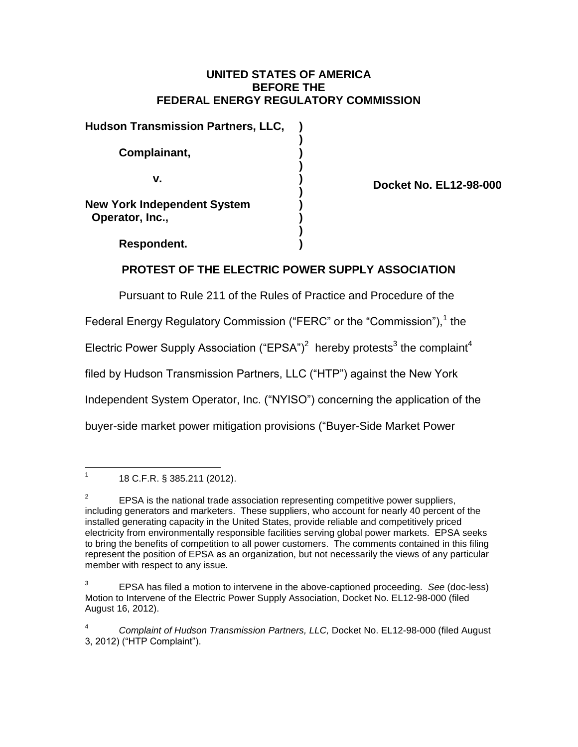### **UNITED STATES OF AMERICA BEFORE THE FEDERAL ENERGY REGULATORY COMMISSION**

| <b>Hudson Transmission Partners, LLC,</b>             |  |
|-------------------------------------------------------|--|
| Complainant,                                          |  |
| v.                                                    |  |
| <b>New York Independent System</b><br>Operator, Inc., |  |
|                                                       |  |

**Docket No. EL12-98-000**

**Respondent. )**

# **PROTEST OF THE ELECTRIC POWER SUPPLY ASSOCIATION**

Pursuant to Rule 211 of the Rules of Practice and Procedure of the

Federal Energy Regulatory Commission ("FERC" or the "Commission"),<sup>1</sup> the

Electric Power Supply Association ("EPSA")<sup>2</sup> hereby protests<sup>3</sup> the complaint<sup>4</sup>

filed by Hudson Transmission Partners, LLC ("HTP") against the New York

Independent System Operator, Inc. ("NYISO") concerning the application of the

buyer-side market power mitigation provisions ("Buyer-Side Market Power

 $\frac{1}{1}$ 18 C.F.R. § 385.211 (2012).

<sup>2</sup> EPSA is the national trade association representing competitive power suppliers, including generators and marketers. These suppliers, who account for nearly 40 percent of the installed generating capacity in the United States, provide reliable and competitively priced electricity from environmentally responsible facilities serving global power markets. EPSA seeks to bring the benefits of competition to all power customers. The comments contained in this filing represent the position of EPSA as an organization, but not necessarily the views of any particular member with respect to any issue.

<sup>3</sup> EPSA has filed a motion to intervene in the above-captioned proceeding. *See* (doc-less) Motion to Intervene of the Electric Power Supply Association, Docket No. EL12-98-000 (filed August 16, 2012).

<sup>4</sup> *Complaint of Hudson Transmission Partners, LLC,* Docket No. EL12-98-000 (filed August 3, 2012) ("HTP Complaint").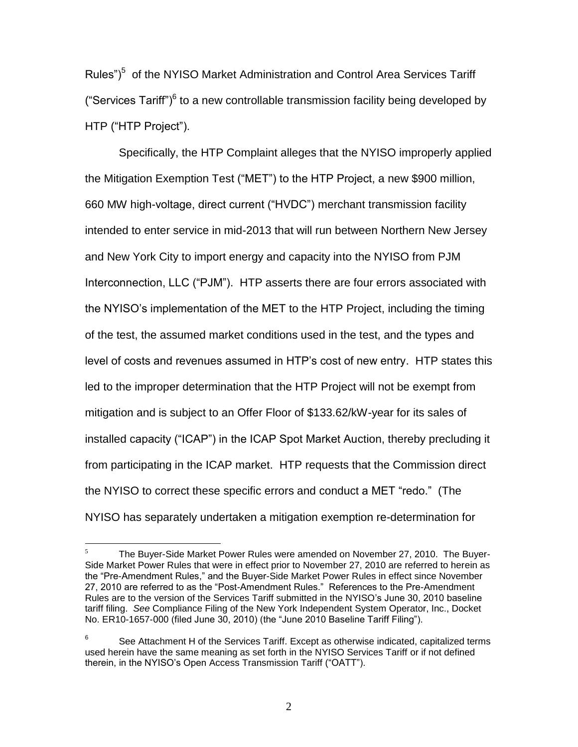Rules")<sup>5</sup> of the NYISO Market Administration and Control Area Services Tariff ("Services Tariff") $6$  to a new controllable transmission facility being developed by HTP ("HTP Project").

Specifically, the HTP Complaint alleges that the NYISO improperly applied the Mitigation Exemption Test ("MET") to the HTP Project, a new \$900 million, 660 MW high-voltage, direct current ("HVDC") merchant transmission facility intended to enter service in mid-2013 that will run between Northern New Jersey and New York City to import energy and capacity into the NYISO from PJM Interconnection, LLC ("PJM"). HTP asserts there are four errors associated with the NYISO's implementation of the MET to the HTP Project, including the timing of the test, the assumed market conditions used in the test, and the types and level of costs and revenues assumed in HTP's cost of new entry. HTP states this led to the improper determination that the HTP Project will not be exempt from mitigation and is subject to an Offer Floor of \$133.62/kW-year for its sales of installed capacity ("ICAP") in the ICAP Spot Market Auction, thereby precluding it from participating in the ICAP market. HTP requests that the Commission direct the NYISO to correct these specific errors and conduct a MET "redo." (The NYISO has separately undertaken a mitigation exemption re-determination for

 $\overline{5}$ <sup>5</sup> The Buyer-Side Market Power Rules were amended on November 27, 2010. The Buyer-Side Market Power Rules that were in effect prior to November 27, 2010 are referred to herein as the "Pre-Amendment Rules," and the Buyer-Side Market Power Rules in effect since November 27, 2010 are referred to as the "Post-Amendment Rules." References to the Pre-Amendment Rules are to the version of the Services Tariff submitted in the NYISO's June 30, 2010 baseline tariff filing. *See* Compliance Filing of the New York Independent System Operator, Inc., Docket No. ER10-1657-000 (filed June 30, 2010) (the "June 2010 Baseline Tariff Filing").

<sup>6</sup> See Attachment H of the Services Tariff. Except as otherwise indicated, capitalized terms used herein have the same meaning as set forth in the NYISO Services Tariff or if not defined therein, in the NYISO's Open Access Transmission Tariff ("OATT").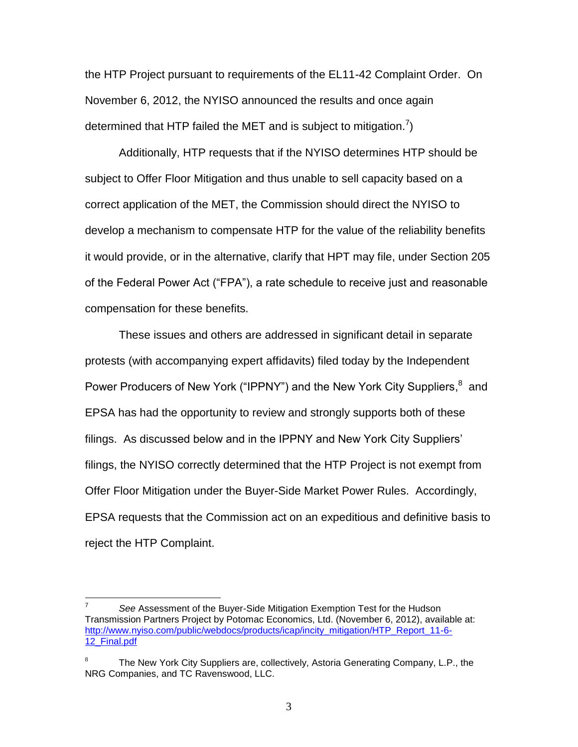the HTP Project pursuant to requirements of the EL11-42 Complaint Order. On November 6, 2012, the NYISO announced the results and once again determined that HTP failed the MET and is subject to mitigation.<sup>7</sup>)

Additionally, HTP requests that if the NYISO determines HTP should be subject to Offer Floor Mitigation and thus unable to sell capacity based on a correct application of the MET, the Commission should direct the NYISO to develop a mechanism to compensate HTP for the value of the reliability benefits it would provide, or in the alternative, clarify that HPT may file, under Section 205 of the Federal Power Act ("FPA"), a rate schedule to receive just and reasonable compensation for these benefits.

These issues and others are addressed in significant detail in separate protests (with accompanying expert affidavits) filed today by the Independent Power Producers of New York ("IPPNY") and the New York City Suppliers, <sup>8</sup> and EPSA has had the opportunity to review and strongly supports both of these filings. As discussed below and in the IPPNY and New York City Suppliers' filings, the NYISO correctly determined that the HTP Project is not exempt from Offer Floor Mitigation under the Buyer-Side Market Power Rules. Accordingly, EPSA requests that the Commission act on an expeditious and definitive basis to reject the HTP Complaint.

<sup>-&</sup>lt;br>7 *See* Assessment of the Buyer-Side Mitigation Exemption Test for the Hudson Transmission Partners Project by Potomac Economics, Ltd. (November 6, 2012), available at: [http://www.nyiso.com/public/webdocs/products/icap/incity\\_mitigation/HTP\\_Report\\_11-6-](http://www.nyiso.com/public/webdocs/products/icap/incity_mitigation/HTP_Report_11-6-12_Final.pdf) 12<sup>Final.pdf</sup>

The New York City Suppliers are, collectively, Astoria Generating Company, L.P., the NRG Companies, and TC Ravenswood, LLC.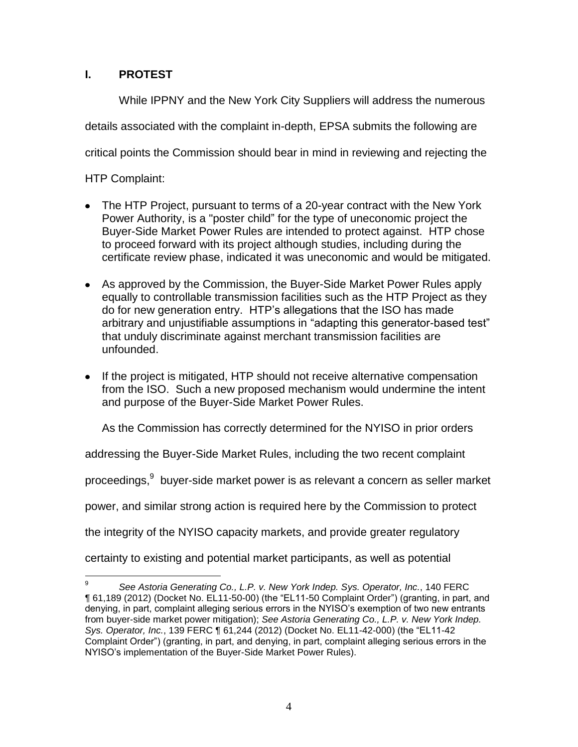## **I. PROTEST**

While IPPNY and the New York City Suppliers will address the numerous details associated with the complaint in-depth, EPSA submits the following are critical points the Commission should bear in mind in reviewing and rejecting the

HTP Complaint:

- The HTP Project, pursuant to terms of a 20-year contract with the New York Power Authority, is a "poster child" for the type of uneconomic project the Buyer-Side Market Power Rules are intended to protect against. HTP chose to proceed forward with its project although studies, including during the certificate review phase, indicated it was uneconomic and would be mitigated.
- As approved by the Commission, the Buyer-Side Market Power Rules apply equally to controllable transmission facilities such as the HTP Project as they do for new generation entry. HTP's allegations that the ISO has made arbitrary and unjustifiable assumptions in "adapting this generator-based test" that unduly discriminate against merchant transmission facilities are unfounded.
- If the project is mitigated, HTP should not receive alternative compensation from the ISO. Such a new proposed mechanism would undermine the intent and purpose of the Buyer-Side Market Power Rules.

As the Commission has correctly determined for the NYISO in prior orders

addressing the Buyer-Side Market Rules, including the two recent complaint

proceedings,  $9$  buyer-side market power is as relevant a concern as seller market

power, and similar strong action is required here by the Commission to protect

the integrity of the NYISO capacity markets, and provide greater regulatory

certainty to existing and potential market participants, as well as potential

<sup>-&</sup>lt;br>9 *See Astoria Generating Co., L.P. v. New York Indep. Sys. Operator, Inc.*, 140 FERC ¶ 61,189 (2012) (Docket No. EL11-50-00) (the "EL11-50 Complaint Order") (granting, in part, and denying, in part, complaint alleging serious errors in the NYISO's exemption of two new entrants from buyer-side market power mitigation); *See Astoria Generating Co., L.P. v. New York Indep. Sys. Operator, Inc.*, 139 FERC ¶ 61,244 (2012) (Docket No. EL11-42-000) (the "EL11-42 Complaint Order") (granting, in part, and denying, in part, complaint alleging serious errors in the NYISO's implementation of the Buyer-Side Market Power Rules).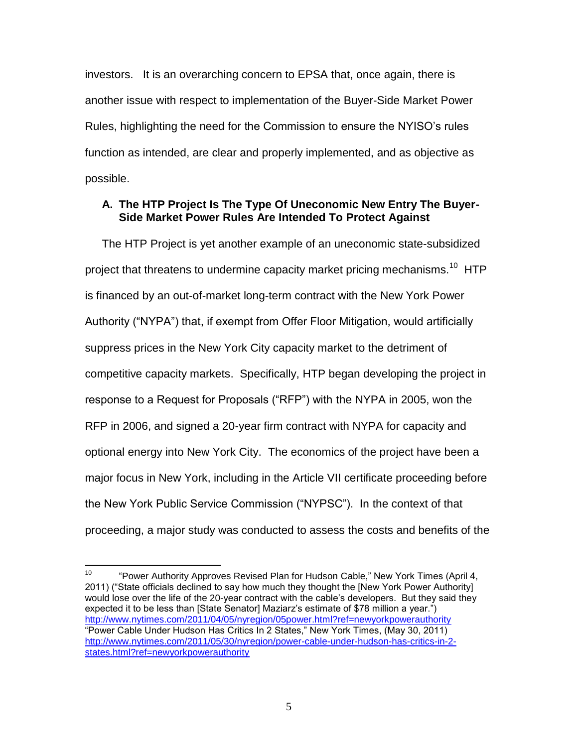investors. It is an overarching concern to EPSA that, once again, there is another issue with respect to implementation of the Buyer-Side Market Power Rules, highlighting the need for the Commission to ensure the NYISO's rules function as intended, are clear and properly implemented, and as objective as possible.

### **A. The HTP Project Is The Type Of Uneconomic New Entry The Buyer-Side Market Power Rules Are Intended To Protect Against**

The HTP Project is yet another example of an uneconomic state-subsidized project that threatens to undermine capacity market pricing mechanisms.<sup>10</sup> HTP is financed by an out-of-market long-term contract with the New York Power Authority ("NYPA") that, if exempt from Offer Floor Mitigation, would artificially suppress prices in the New York City capacity market to the detriment of competitive capacity markets. Specifically, HTP began developing the project in response to a Request for Proposals ("RFP") with the NYPA in 2005, won the RFP in 2006, and signed a 20-year firm contract with NYPA for capacity and optional energy into New York City. The economics of the project have been a major focus in New York, including in the Article VII certificate proceeding before the New York Public Service Commission ("NYPSC"). In the context of that proceeding, a major study was conducted to assess the costs and benefits of the

 $10<sub>1</sub>$ "Power Authority Approves Revised Plan for Hudson Cable," New York Times (April 4, 2011) ("State officials declined to say how much they thought the [New York Power Authority] would lose over the life of the 20-year contract with the cable's developers. But they said they expected it to be less than [State Senator] Maziarz's estimate of \$78 million a year.") <http://www.nytimes.com/2011/04/05/nyregion/05power.html?ref=newyorkpowerauthority> "Power Cable Under Hudson Has Critics In 2 States," New York Times, (May 30, 2011) [http://www.nytimes.com/2011/05/30/nyregion/power-cable-under-hudson-has-critics-in-2](http://www.nytimes.com/2011/05/30/nyregion/power-cable-under-hudson-has-critics-in-2-states.html?ref=newyorkpowerauthority) [states.html?ref=newyorkpowerauthority](http://www.nytimes.com/2011/05/30/nyregion/power-cable-under-hudson-has-critics-in-2-states.html?ref=newyorkpowerauthority)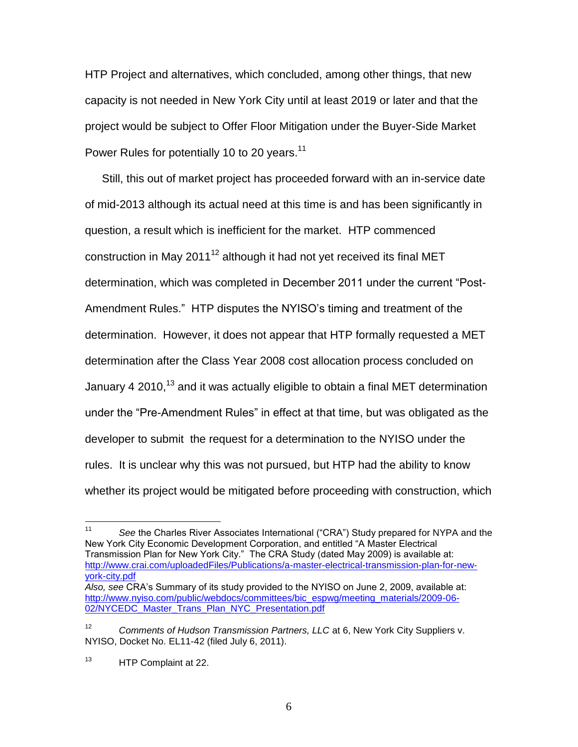HTP Project and alternatives, which concluded, among other things, that new capacity is not needed in New York City until at least 2019 or later and that the project would be subject to Offer Floor Mitigation under the Buyer-Side Market Power Rules for potentially 10 to 20 years.<sup>11</sup>

Still, this out of market project has proceeded forward with an in-service date of mid-2013 although its actual need at this time is and has been significantly in question, a result which is inefficient for the market. HTP commenced construction in May 2011<sup>12</sup> although it had not yet received its final MET determination, which was completed in December 2011 under the current "Post-Amendment Rules." HTP disputes the NYISO's timing and treatment of the determination. However, it does not appear that HTP formally requested a MET determination after the Class Year 2008 cost allocation process concluded on January 4 2010,<sup>13</sup> and it was actually eligible to obtain a final MET determination under the "Pre-Amendment Rules" in effect at that time, but was obligated as the developer to submit the request for a determination to the NYISO under the rules. It is unclear why this was not pursued, but HTP had the ability to know whether its project would be mitigated before proceeding with construction, which

 $11$ <sup>11</sup> *See* the Charles River Associates International ("CRA") Study prepared for NYPA and the New York City Economic Development Corporation, and entitled "A Master Electrical Transmission Plan for New York City." The CRA Study (dated May 2009) is available at: [http://www.crai.com/uploadedFiles/Publications/a-master-electrical-transmission-plan-for-new](http://www.crai.com/uploadedFiles/Publications/a-master-electrical-transmission-plan-for-new-york-city.pdf)[york-city.pdf](http://www.crai.com/uploadedFiles/Publications/a-master-electrical-transmission-plan-for-new-york-city.pdf) *Also, see* CRA's Summary of its study provided to the NYISO on June 2, 2009, available at:

[http://www.nyiso.com/public/webdocs/committees/bic\\_espwg/meeting\\_materials/2009-06-](http://www.nyiso.com/public/webdocs/committees/bic_espwg/meeting_materials/2009-06-02/NYCEDC_Master_Trans_Plan_NYC_Presentation.pdf) 02/NYCEDC Master Trans\_Plan\_NYC\_Presentation.pdf

<sup>&</sup>lt;sup>12</sup> *Comments of Hudson Transmission Partners, LLC* at 6, New York City Suppliers v. NYISO, Docket No. EL11-42 (filed July 6, 2011).

<sup>13</sup> HTP Complaint at 22.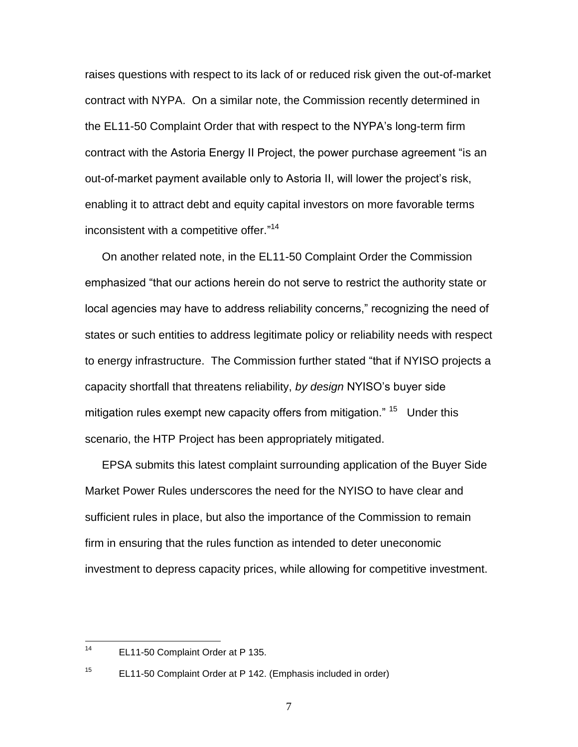raises questions with respect to its lack of or reduced risk given the out-of-market contract with NYPA. On a similar note, the Commission recently determined in the EL11-50 Complaint Order that with respect to the NYPA's long-term firm contract with the Astoria Energy II Project, the power purchase agreement "is an out-of-market payment available only to Astoria II, will lower the project's risk, enabling it to attract debt and equity capital investors on more favorable terms inconsistent with a competitive offer."<sup>14</sup>

On another related note, in the EL11-50 Complaint Order the Commission emphasized "that our actions herein do not serve to restrict the authority state or local agencies may have to address reliability concerns," recognizing the need of states or such entities to address legitimate policy or reliability needs with respect to energy infrastructure. The Commission further stated "that if NYISO projects a capacity shortfall that threatens reliability, *by design* NYISO's buyer side mitigation rules exempt new capacity offers from mitigation." <sup>15</sup> Under this scenario, the HTP Project has been appropriately mitigated.

EPSA submits this latest complaint surrounding application of the Buyer Side Market Power Rules underscores the need for the NYISO to have clear and sufficient rules in place, but also the importance of the Commission to remain firm in ensuring that the rules function as intended to deter uneconomic investment to depress capacity prices, while allowing for competitive investment.

 $14$ EL11-50 Complaint Order at P 135.

<sup>15</sup> EL11-50 Complaint Order at P 142. (Emphasis included in order)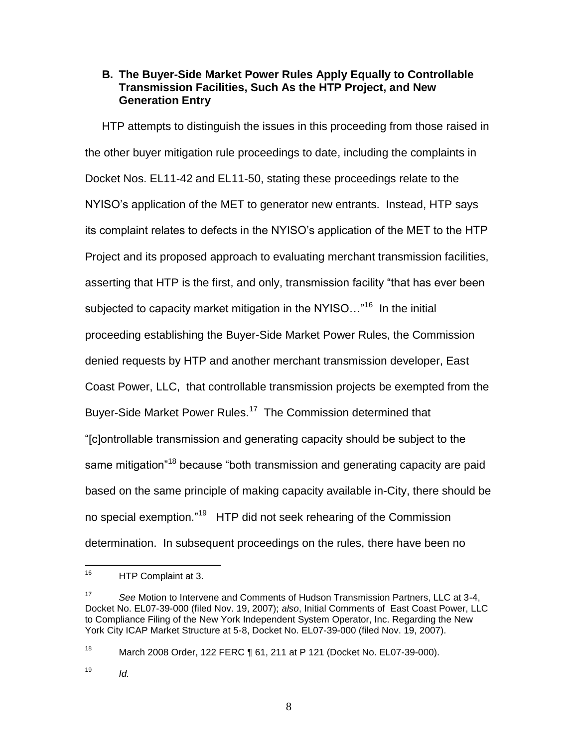#### **B. The Buyer-Side Market Power Rules Apply Equally to Controllable Transmission Facilities, Such As the HTP Project, and New Generation Entry**

HTP attempts to distinguish the issues in this proceeding from those raised in the other buyer mitigation rule proceedings to date, including the complaints in Docket Nos. EL11-42 and EL11-50, stating these proceedings relate to the NYISO's application of the MET to generator new entrants. Instead, HTP says its complaint relates to defects in the NYISO's application of the MET to the HTP Project and its proposed approach to evaluating merchant transmission facilities, asserting that HTP is the first, and only, transmission facility "that has ever been subjected to capacity market mitigation in the NYISO..."<sup>16</sup> In the initial proceeding establishing the Buyer-Side Market Power Rules, the Commission denied requests by HTP and another merchant transmission developer, East Coast Power, LLC, that controllable transmission projects be exempted from the Buyer-Side Market Power Rules.<sup>17</sup> The Commission determined that "[c]ontrollable transmission and generating capacity should be subject to the same mitigation<sup>"18</sup> because "both transmission and generating capacity are paid based on the same principle of making capacity available in-City, there should be no special exemption."<sup>19</sup> HTP did not seek rehearing of the Commission determination. In subsequent proceedings on the rules, there have been no

18 March 2008 Order, 122 FERC ¶ 61, 211 at P 121 (Docket No. EL07-39-000).

 $19$  *Id.* 

8

<sup>16</sup> HTP Complaint at 3.

<sup>17</sup> *See* Motion to Intervene and Comments of Hudson Transmission Partners, LLC at 3-4, Docket No. EL07-39-000 (filed Nov. 19, 2007); *also*, Initial Comments of East Coast Power, LLC to Compliance Filing of the New York Independent System Operator, Inc. Regarding the New York City ICAP Market Structure at 5-8, Docket No. EL07-39-000 (filed Nov. 19, 2007).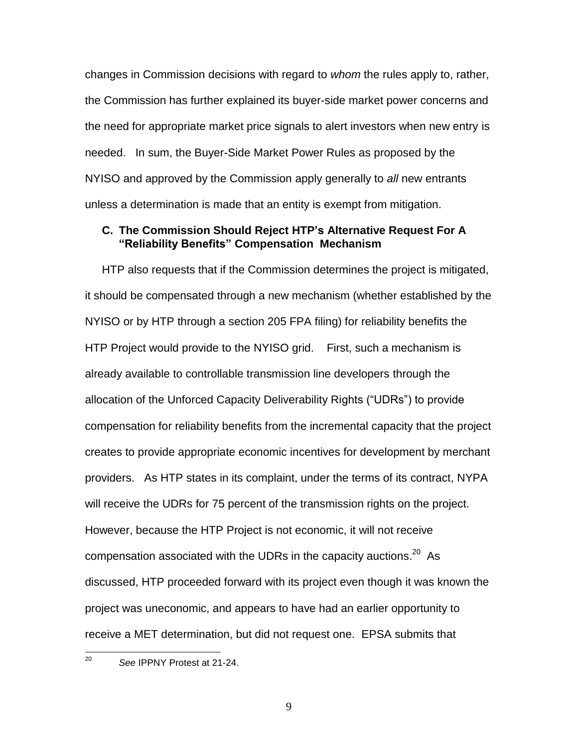changes in Commission decisions with regard to *whom* the rules apply to, rather, the Commission has further explained its buyer-side market power concerns and the need for appropriate market price signals to alert investors when new entry is needed. In sum, the Buyer-Side Market Power Rules as proposed by the NYISO and approved by the Commission apply generally to *all* new entrants unless a determination is made that an entity is exempt from mitigation.

#### **C. The Commission Should Reject HTP's Alternative Request For A "Reliability Benefits" Compensation Mechanism**

HTP also requests that if the Commission determines the project is mitigated, it should be compensated through a new mechanism (whether established by the NYISO or by HTP through a section 205 FPA filing) for reliability benefits the HTP Project would provide to the NYISO grid. First, such a mechanism is already available to controllable transmission line developers through the allocation of the Unforced Capacity Deliverability Rights ("UDRs") to provide compensation for reliability benefits from the incremental capacity that the project creates to provide appropriate economic incentives for development by merchant providers. As HTP states in its complaint, under the terms of its contract, NYPA will receive the UDRs for 75 percent of the transmission rights on the project. However, because the HTP Project is not economic, it will not receive compensation associated with the UDRs in the capacity auctions. $^{20}$  As discussed, HTP proceeded forward with its project even though it was known the project was uneconomic, and appears to have had an earlier opportunity to receive a MET determination, but did not request one. EPSA submits that

 $20<sup>2</sup>$ 

See **IPPNY** Protest at 21-24.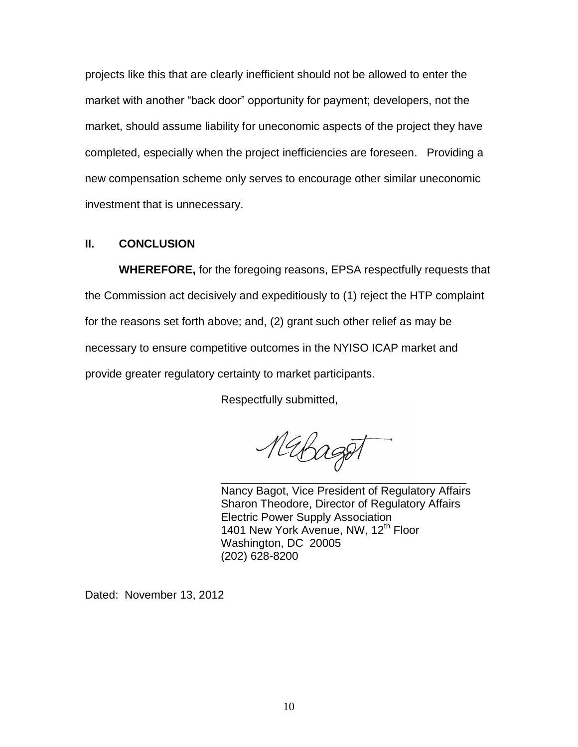projects like this that are clearly inefficient should not be allowed to enter the market with another "back door" opportunity for payment; developers, not the market, should assume liability for uneconomic aspects of the project they have completed, especially when the project inefficiencies are foreseen. Providing a new compensation scheme only serves to encourage other similar uneconomic investment that is unnecessary.

#### **II. CONCLUSION**

**WHEREFORE,** for the foregoing reasons, EPSA respectfully requests that the Commission act decisively and expeditiously to (1) reject the HTP complaint for the reasons set forth above; and, (2) grant such other relief as may be necessary to ensure competitive outcomes in the NYISO ICAP market and provide greater regulatory certainty to market participants.

Respectfully submitted,

Mabaget \_\_\_\_\_\_\_\_\_\_\_\_\_\_\_\_\_\_\_\_\_\_\_\_\_\_\_\_\_\_\_\_\_\_\_\_\_\_\_

Nancy Bagot, Vice President of Regulatory Affairs Sharon Theodore, Director of Regulatory Affairs Electric Power Supply Association 1401 New York Avenue, NW, 12<sup>th</sup> Floor Washington, DC 20005 (202) 628-8200

Dated: November 13, 2012